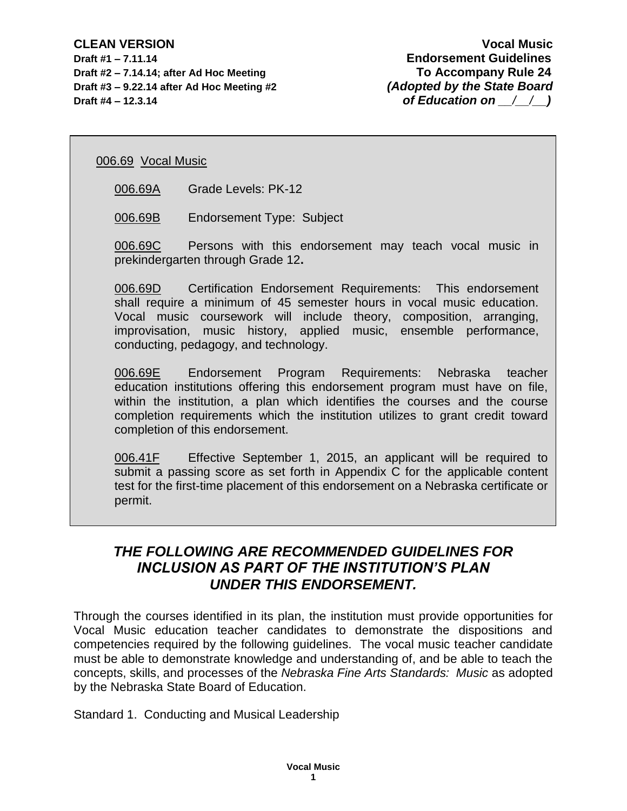**Draft #1 – 7.11.14 Endorsement Guidelines Draft #2 – 7.14.14; after Ad Hoc Meeting To Accompany Rule 24 Draft #3 – 9.22.14 after Ad Hoc Meeting #2** *(Adopted by the State Board* **Draft #4 – 12.3.14** *of Education on*  $\left/ \right/ \right)$ 

006.69 Vocal Music

006.69A Grade Levels: PK-12

006.69B Endorsement Type: Subject

006.69C Persons with this endorsement may teach vocal music in prekindergarten through Grade 12**.**

006.69D Certification Endorsement Requirements: This endorsement shall require a minimum of 45 semester hours in vocal music education. Vocal music coursework will include theory, composition, arranging, improvisation, music history, applied music, ensemble performance, conducting, pedagogy, and technology.

006.69E Endorsement Program Requirements: Nebraska teacher education institutions offering this endorsement program must have on file, within the institution, a plan which identifies the courses and the course completion requirements which the institution utilizes to grant credit toward completion of this endorsement.

006.41F Effective September 1, 2015, an applicant will be required to submit a passing score as set forth in Appendix C for the applicable content test for the first-time placement of this endorsement on a Nebraska certificate or permit.

## *THE FOLLOWING ARE RECOMMENDED GUIDELINES FOR INCLUSION AS PART OF THE INSTITUTION'S PLAN UNDER THIS ENDORSEMENT.*

Through the courses identified in its plan, the institution must provide opportunities for Vocal Music education teacher candidates to demonstrate the dispositions and competencies required by the following guidelines. The vocal music teacher candidate must be able to demonstrate knowledge and understanding of, and be able to teach the concepts, skills, and processes of the *Nebraska Fine Arts Standards: Music* as adopted by the Nebraska State Board of Education.

Standard 1. Conducting and Musical Leadership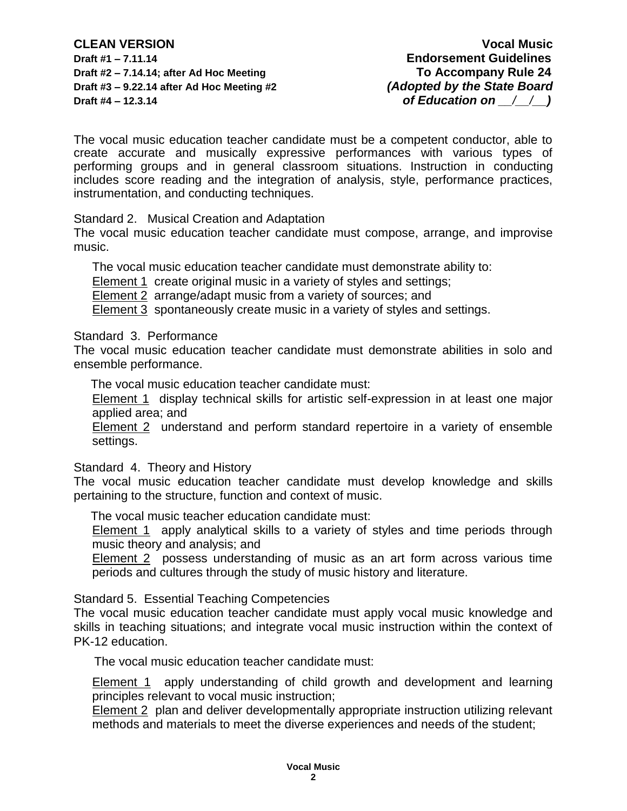**CLEAN VERSION Vocal Music Draft #1 – 7.11.14 Endorsement Guidelines Draft #2 – 7.14.14; after Ad Hoc Meeting To Accompany Rule 24 Draft #3 – 9.22.14 after Ad Hoc Meeting #2** *(Adopted by the State Board* **Draft #4 – 12.3.14** *of Education on*  $\left/ \right/ \right)$ 

The vocal music education teacher candidate must be a competent conductor, able to create accurate and musically expressive performances with various types of performing groups and in general classroom situations. Instruction in conducting includes score reading and the integration of analysis, style, performance practices, instrumentation, and conducting techniques.

Standard 2. Musical Creation and Adaptation

The vocal music education teacher candidate must compose, arrange, and improvise music.

The vocal music education teacher candidate must demonstrate ability to:

Element 1 create original music in a variety of styles and settings;

Element 2 arrange/adapt music from a variety of sources; and

Element 3 spontaneously create music in a variety of styles and settings.

## Standard 3. Performance

The vocal music education teacher candidate must demonstrate abilities in solo and ensemble performance.

The vocal music education teacher candidate must:

Element 1 display technical skills for artistic self-expression in at least one major applied area; and

Element 2 understand and perform standard repertoire in a variety of ensemble settings.

Standard 4. Theory and History

The vocal music education teacher candidate must develop knowledge and skills pertaining to the structure, function and context of music.

The vocal music teacher education candidate must:

Element 1 apply analytical skills to a variety of styles and time periods through music theory and analysis; and

Element 2 possess understanding of music as an art form across various time periods and cultures through the study of music history and literature.

Standard 5. Essential Teaching Competencies

The vocal music education teacher candidate must apply vocal music knowledge and skills in teaching situations; and integrate vocal music instruction within the context of PK-12 education.

The vocal music education teacher candidate must:

Element 1 apply understanding of child growth and development and learning principles relevant to vocal music instruction;

Element 2 plan and deliver developmentally appropriate instruction utilizing relevant methods and materials to meet the diverse experiences and needs of the student;